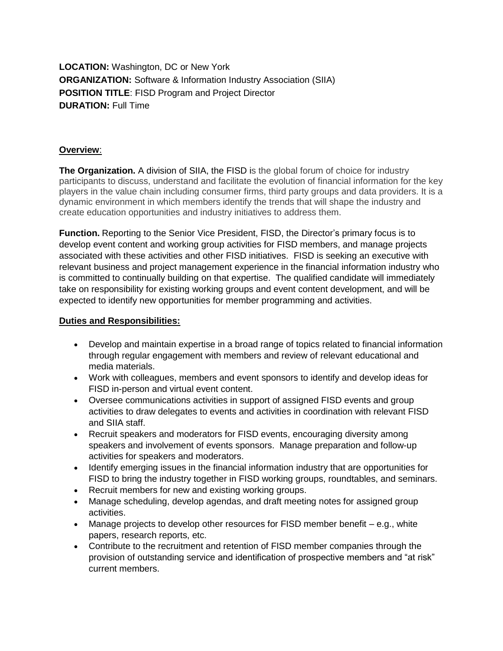**LOCATION:** Washington, DC or New York **ORGANIZATION:** Software & Information Industry Association (SIIA) **POSITION TITLE**: FISD Program and Project Director **DURATION:** Full Time

# **Overview**:

**The Organization.** A division of SIIA, the FISD is the global forum of choice for industry participants to discuss, understand and facilitate the evolution of financial information for the key players in the value chain including consumer firms, third party groups and data providers. It is a dynamic environment in which members identify the trends that will shape the industry and create education opportunities and industry initiatives to address them.

**Function.** Reporting to the Senior Vice President, FISD, the Director's primary focus is to develop event content and working group activities for FISD members, and manage projects associated with these activities and other FISD initiatives. FISD is seeking an executive with relevant business and project management experience in the financial information industry who is committed to continually building on that expertise. The qualified candidate will immediately take on responsibility for existing working groups and event content development, and will be expected to identify new opportunities for member programming and activities.

# **Duties and Responsibilities:**

- Develop and maintain expertise in a broad range of topics related to financial information through regular engagement with members and review of relevant educational and media materials.
- Work with colleagues, members and event sponsors to identify and develop ideas for FISD in-person and virtual event content.
- Oversee communications activities in support of assigned FISD events and group activities to draw delegates to events and activities in coordination with relevant FISD and SIIA staff.
- Recruit speakers and moderators for FISD events, encouraging diversity among speakers and involvement of events sponsors. Manage preparation and follow-up activities for speakers and moderators.
- Identify emerging issues in the financial information industry that are opportunities for FISD to bring the industry together in FISD working groups, roundtables, and seminars.
- Recruit members for new and existing working groups.
- Manage scheduling, develop agendas, and draft meeting notes for assigned group activities.
- Manage projects to develop other resources for FISD member benefit e.g., white papers, research reports, etc.
- Contribute to the recruitment and retention of FISD member companies through the provision of outstanding service and identification of prospective members and "at risk" current members.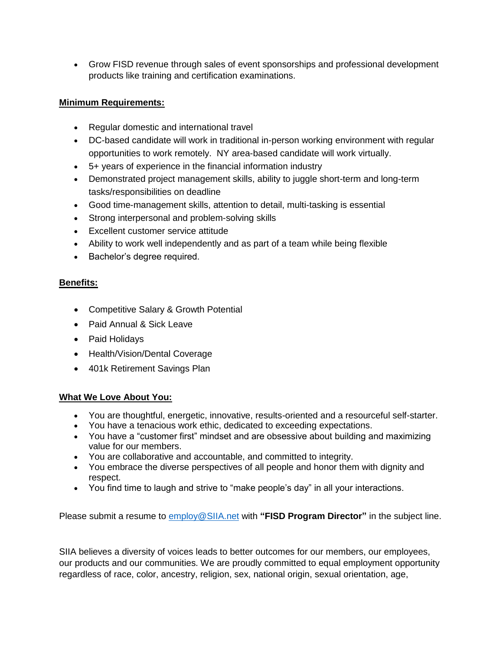Grow FISD revenue through sales of event sponsorships and professional development products like training and certification examinations.

# **Minimum Requirements:**

- Regular domestic and international travel
- DC-based candidate will work in traditional in-person working environment with regular opportunities to work remotely. NY area-based candidate will work virtually.
- 5+ years of experience in the financial information industry
- Demonstrated project management skills, ability to juggle short-term and long-term tasks/responsibilities on deadline
- Good time-management skills, attention to detail, multi-tasking is essential
- Strong interpersonal and problem-solving skills
- Excellent customer service attitude
- Ability to work well independently and as part of a team while being flexible
- Bachelor's degree required.

# **Benefits:**

- Competitive Salary & Growth Potential
- Paid Annual & Sick Leave
- Paid Holidays
- Health/Vision/Dental Coverage
- 401k Retirement Savings Plan

## **What We Love About You:**

- You are thoughtful, energetic, innovative, results-oriented and a resourceful self-starter.
- You have a tenacious work ethic, dedicated to exceeding expectations.
- You have a "customer first" mindset and are obsessive about building and maximizing value for our members.
- You are collaborative and accountable, and committed to integrity.
- You embrace the diverse perspectives of all people and honor them with dignity and respect.
- You find time to laugh and strive to "make people's day" in all your interactions.

Please submit a resume to [employ@SIIA.net](mailto:employ@SIIA.net) with **"FISD Program Director"** in the subject line.

SIIA believes a diversity of voices leads to better outcomes for our members, our employees, our products and our communities. We are proudly committed to equal employment opportunity regardless of race, color, ancestry, religion, sex, national origin, sexual orientation, age,